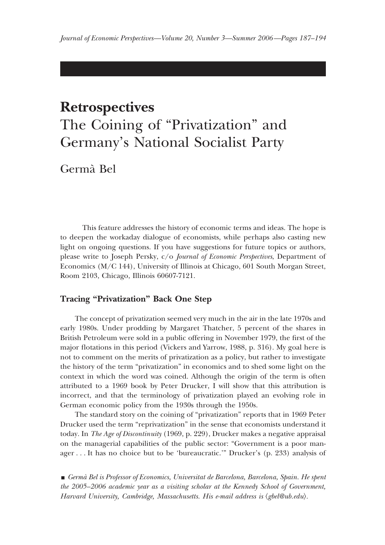## **Retrospectives**

# The Coining of "Privatization" and Germany's National Socialist Party

Germa` Bel

This feature addresses the history of economic terms and ideas. The hope is to deepen the workaday dialogue of economists, while perhaps also casting new light on ongoing questions. If you have suggestions for future topics or authors, please write to Joseph Persky, c/o *Journal of Economic Perspectives*, Department of Economics (M/C 144), University of Illinois at Chicago, 601 South Morgan Street, Room 2103, Chicago, Illinois 60607-7121.

### **Tracing "Privatization" Back One Step**

The concept of privatization seemed very much in the air in the late 1970s and early 1980s. Under prodding by Margaret Thatcher, 5 percent of the shares in British Petroleum were sold in a public offering in November 1979, the first of the major flotations in this period (Vickers and Yarrow, 1988, p. 316). My goal here is not to comment on the merits of privatization as a policy, but rather to investigate the history of the term "privatization" in economics and to shed some light on the context in which the word was coined. Although the origin of the term is often attributed to a 1969 book by Peter Drucker, I will show that this attribution is incorrect, and that the terminology of privatization played an evolving role in German economic policy from the 1930s through the 1950s.

The standard story on the coining of "privatization" reports that in 1969 Peter Drucker used the term "reprivatization" in the sense that economists understand it today. In *The Age of Discontinuity* (1969, p. 229), Drucker makes a negative appraisal on the managerial capabilities of the public sector: "Government is a poor manager . . . It has no choice but to be 'bureaucratic.'" Drucker's (p. 233) analysis of

y *Germa` Bel is Professor of Economics, Universitat de Barcelona, Barcelona, Spain. He spent the 2005–2006 academic year as a visiting scholar at the Kennedy School of Government,* Harvard University, Cambridge, Massachusetts. His e-mail address is  $\langle$ gbel@ub.edu $\rangle$ .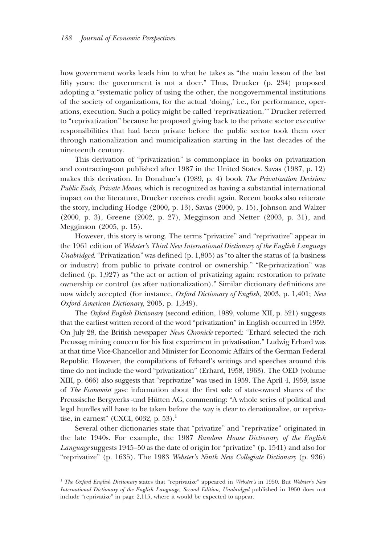how government works leads him to what he takes as "the main lesson of the last fifty years: the government is not a doer." Thus, Drucker (p. 234) proposed adopting a "systematic policy of using the other, the nongovernmental institutions of the society of organizations, for the actual 'doing,' i.e., for performance, operations, execution. Such a policy might be called 'reprivatization.'" Drucker referred to "reprivatization" because he proposed giving back to the private sector executive responsibilities that had been private before the public sector took them over through nationalization and municipalization starting in the last decades of the nineteenth century.

This derivation of "privatization" is commonplace in books on privatization and contracting-out published after 1987 in the United States. Savas (1987, p. 12) makes this derivation. In Donahue's (1989, p. 4) book *The Privatization Decision: Public Ends, Private Means*, which is recognized as having a substantial international impact on the literature, Drucker receives credit again. Recent books also reiterate the story, including Hodge (2000, p. 13), Savas (2000, p. 15), Johnson and Walzer (2000, p. 3), Greene (2002, p. 27), Megginson and Netter (2003, p. 31), and Megginson (2005, p. 15).

However, this story is wrong. The terms "privatize" and "reprivatize" appear in the 1961 edition of *Webster's Third New International Dictionary of the English Language Unabridged*. "Privatization" was defined (p. 1,805) as "to alter the status of (a business or industry) from public to private control or ownership." "Re-privatization" was defined (p. 1,927) as "the act or action of privatizing again: restoration to private ownership or control (as after nationalization)." Similar dictionary definitions are now widely accepted (for instance, *Oxford Dictionary of English*, 2003, p. 1,401; *New Oxford American Dictionary,* 2005, p. 1,349).

The *Oxford English Dictionary* (second edition, 1989, volume XII, p. 521) suggests that the earliest written record of the word "privatization" in English occurred in 1959. On July 28, the British newspaper *News Chronicle* reported: "Erhard selected the rich Preussag mining concern for his first experiment in privatisation." Ludwig Erhard was at that time Vice-Chancellor and Minister for Economic Affairs of the German Federal Republic. However, the compilations of Erhard's writings and speeches around this time do not include the word "privatization" (Erhard, 1958, 1963). The OED (volume XIII, p. 666) also suggests that "reprivatize" was used in 1959. The April 4, 1959, issue of *The Economist* gave information about the first sale of state-owned shares of the Preussische Bergwerks -und Hütten AG, commenting: "A whole series of political and legal hurdles will have to be taken before the way is clear to denationalize, or reprivatise, in earnest" (CXCI, 6032, p. 53).<sup>1</sup>

Several other dictionaries state that "privatize" and "reprivatize" originated in the late 1940s. For example, the 1987 *Random House Dictionary of the English Language* suggests 1945–50 as the date of origin for "privatize" (p. 1541) and also for "reprivatize" (p. 1635). The 1983 *Webster's Ninth New Collegiate Dictionary* (p. 936)

<sup>1</sup> *The Oxford English Dictionary* states that "reprivatize" appeared in *Webster's* in 1950. But *Webster's New International Dictionary of the English Language, Second Edition, Unabridged* published in 1950 does not include "reprivatize" in page 2,115, where it would be expected to appear.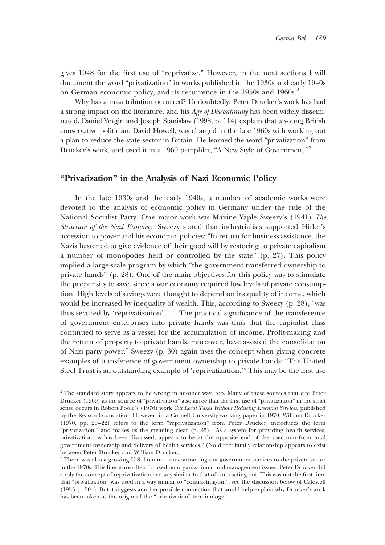gives 1948 for the first use of "reprivatize." However, in the next sections I will document the word "privatization" in works published in the 1930s and early 1940s on German economic policy, and its recurrence in the 1950s and 1960s.<sup>2</sup>

Why has a misattribution occurred? Undoubtedly, Peter Drucker's work has had a strong impact on the literature, and his *Age of Discontinuity* has been widely disseminated. Daniel Yergin and Joseph Stanislaw (1998, p. 114) explain that a young British conservative politician, David Howell, was charged in the late 1960s with working out a plan to reduce the state sector in Britain. He learned the word "privatization" from Drucker's work, and used it in a 1969 pamphlet, "A New Style of Government."<sup>3</sup>

#### **"Privatization" in the Analysis of Nazi Economic Policy**

In the late 1930s and the early 1940s, a number of academic works were devoted to the analysis of economic policy in Germany under the rule of the National Socialist Party. One major work was Maxine Yaple Sweezy's (1941) *The Structure of the Nazi Economy.* Sweezy stated that industrialists supported Hitler's accession to power and his economic policies: "In return for business assistance, the Nazis hastened to give evidence of their good will by restoring to private capitalism a number of monopolies held or controlled by the state" (p. 27). This policy implied a large-scale program by which "the government transferred ownership to private hands" (p. 28). One of the main objectives for this policy was to stimulate the propensity to save, since a war economy required low levels of private consumption. High levels of savings were thought to depend on inequality of income, which would be increased by inequality of wealth. This, according to Sweezy (p. 28), "was thus secured by 'reprivatization'. . . . The practical significance of the transference of government enterprises into private hands was thus that the capitalist class continued to serve as a vessel for the accumulation of income. Profit-making and the return of property to private hands, moreover, have assisted the consolidation of Nazi party power." Sweezy (p. 30) again uses the concept when giving concrete examples of transference of government ownership to private hands: "The United Steel Trust is an outstanding example of 'reprivatization.'" This may be the first use

<sup>&</sup>lt;sup>2</sup> The standard story appears to be wrong in another way, too. Many of these sources that cite Peter Drucker (1969) as the source of "privativation" also agree that the first use of "privatization" in the strict sense occurs in Robert Poole's (1976) work *Cut Local Taxes Without Reducing Essential Services,* published by the Reason Foundation. However, in a Cornell University working paper in 1970, William Drucker (1970, pp. 20–22) refers to the term "reprivatization" from Peter Drucker, introduces the term "privatization," and makes its the meaning clear (p. 35): "As a system for providing health services, privatization, as has been discussed, appears to be at the opposite end of the spectrum from total government ownership and delivery of health services." (No direct family relationship appears to exist between Peter Drucker and William Drucker.)

<sup>3</sup> There was also a growing U.S. literature on contracting out government services to the private sector in the 1970s. This literature often focused on organizational and management issues. Peter Drucker did apply the concept of reprivatization in a way similar to that of contracting-out. This was not the first time that "privatization" was used in a way similar to "contracting-out"; see the discussion below of Caldwell (1953, p. 504). But it suggests another possible connection that would help explain why Drucker's work has been taken as the origin of the "privatization" terminology.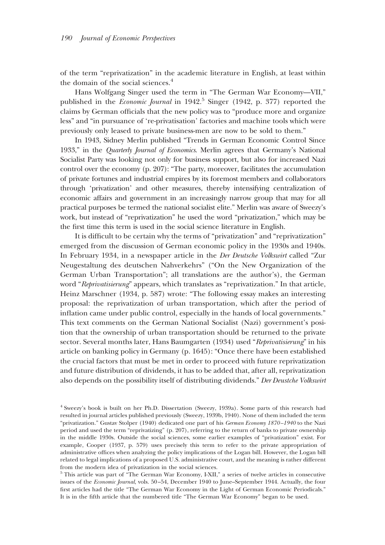of the term "reprivatization" in the academic literature in English, at least within the domain of the social sciences.<sup>4</sup>

Hans Wolfgang Singer used the term in "The German War Economy—VII," published in the *Economic Journal* in 1942.<sup>5</sup> Singer (1942, p. 377) reported the claims by German officials that the new policy was to "produce more and organize less" and "in pursuance of 're-privatisation' factories and machine tools which were previously only leased to private business-men are now to be sold to them."

In 1943, Sidney Merlin published "Trends in German Economic Control Since 1933," in the *Quarterly Journal of Economics*. Merlin agrees that Germany's National Socialist Party was looking not only for business support, but also for increased Nazi control over the economy (p. 207): "The party, moreover, facilitates the accumulation of private fortunes and industrial empires by its foremost members and collaborators through 'privatization' and other measures, thereby intensifying centralization of economic affairs and government in an increasingly narrow group that may for all practical purposes be termed the national socialist elite." Merlin was aware of Sweezy's work, but instead of "reprivatization" he used the word "privatization," which may be the first time this term is used in the social science literature in English.

It is difficult to be certain why the terms of "privatization" and "reprivatization" emerged from the discussion of German economic policy in the 1930s and 1940s. In February 1934, in a newspaper article in the *Der Deutsche Volkswirt* called "Zur Neugestaltung des deutschen Nahverkehrs" ("On the New Organization of the German Urban Transportation"; all translations are the author's), the German word "*Reprivatisierung*" appears, which translates as "reprivatization." In that article, Heinz Marschner (1934, p. 587) wrote: "The following essay makes an interesting proposal: the reprivatization of urban transportation, which after the period of inflation came under public control, especially in the hands of local governments." This text comments on the German National Socialist (Nazi) government's position that the ownership of urban transportation should be returned to the private sector. Several months later, Hans Baumgarten (1934) used "*Reprivatisierung*" in his article on banking policy in Germany (p. 1645): "Once there have been established the crucial factors that must be met in order to proceed with future reprivatization and future distribution of dividends, it has to be added that, after all, reprivatization also depends on the possibility itself of distributing dividends." *Der Deustche Volkswirt*

<sup>4</sup> Sweezy's book is built on her Ph.D. Dissertation (Sweezy, 1939a). Some parts of this research had resulted in journal articles published previously (Sweezy, 1939b, 1940). None of them included the term "privatization." Gustav Stolper (1940) dedicated one part of his *German Economy 1870–1940* to the Nazi period and used the term "reprivatizing" (p. 207), referring to the return of banks to private ownership in the middle 1930s. Outside the social sciences, some earlier examples of "privatization" exist. For example, Cooper (1937, p. 579) uses precisely this term to refer to the private appropriation of administrative offices when analyzing the policy implications of the Logan bill. However, the Logan bill related to legal implications of a proposed U.S. administrative court, and the meaning is rather different from the modern idea of privatization in the social sciences.

<sup>5</sup> This article was part of "The German War Economy, I-XII," a series of twelve articles in consecutive issues of the *Economic Journal*, vols. 50–54, December 1940 to June–September 1944. Actually, the four first articles had the title "The German War Economy in the Light of German Economic Periodicals." It is in the fifth article that the numbered title "The German War Economy" began to be used.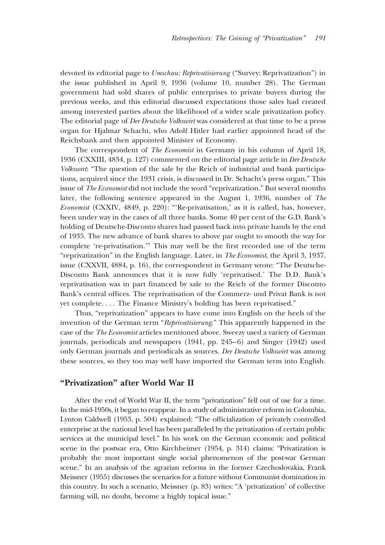devoted its editorial page to *Umschau: Reprivatisierung* ("Survey: Reprivatization") in the issue published in April 9, 1936 (volume 10, number 28). The German government had sold shares of public enterprises to private buyers during the previous weeks, and this editorial discussed expectations those sales had created among interested parties about the likelihood of a wider scale privatization policy. The editorial page of *Der Deutsche Volkswirt* was considered at that time to be a press organ for Hjalmar Schacht, who Adolf Hitler had earlier appointed head of the Reichsbank and then appointed Minister of Economy.

The correspondent of *The Economist* in Germany in his column of April 18, 1936 (CXXIII, 4834, p. 127) commented on the editorial page article in *Der Deutsche Volkswirt*: "The question of the sale by the Reich of industrial and bank participations, acquired since the 1931 crisis, is discussed in Dr. Schacht's press organ." This issue of *The Economist* did not include the word "reprivatization." But several months later, the following sentence appeared in the August 1, 1936, number of *The Economist* (CXXIV, 4849, p. 220): "'Re-privatisation,' as it is called, has, however, been under way in the cases of all three banks. Some 40 per cent of the G.D. Bank's holding of Deutsche-Disconto shares had passed back into private hands by the end of 1935. The new advance of bank shares to above par ought to smooth the way for complete 're-privatisation.'" This may well be the first recorded use of the term "reprivatization" in the English language. Later, in *The Economist*, the April 3, 1937, issue (CXXVII, 4884, p. 16), the correspondent in Germany wrote: "The Deutsche-Disconto Bank announces that it is now fully 'reprivatised.' The D.D. Bank's reprivatisation was in part financed by sale to the Reich of the former Disconto Bank's central offices. The reprivatisation of the Commerz- und Privat Bank is not yet complete. . . . The Finance Ministry's holding has been reprivatised."

Thus, "reprivatization" appears to have come into English on the heels of the invention of the German term "*Reprivatisierung*." This apparently happened in the case of the *The Economist* articles mentioned above. Sweezy used a variety of German journals, periodicals and newspapers (1941, pp. 245–6) and Singer (1942) used only German journals and periodicals as sources. *Der Deutsche Volkswirt* was among these sources, so they too may well have imported the German term into English.

#### **"Privatization" after World War II**

After the end of World War II, the term "privatization" fell out of use for a time. In the mid-1950s, it began to reappear. In a study of administrative reform in Colombia, Lynton Caldwell (1953, p. 504) explained: "The officialization of privately controlled enterprise at the national level has been paralleled by the privatization of certain public services at the municipal level." In his work on the German economic and political scene in the postwar era, Otto Kirchheimer (1954, p. 314) claims: "Privatization is probably the most important single social phenomenon of the post-war German scene." In an analysis of the agrarian reforms in the former Czechoslovakia, Frank Meissner (1955) discusses the scenarios for a future without Communist domination in this country. In such a scenario, Meissner (p. 83) writes: "A 'privatization' of collective farming will, no doubt, become a highly topical issue."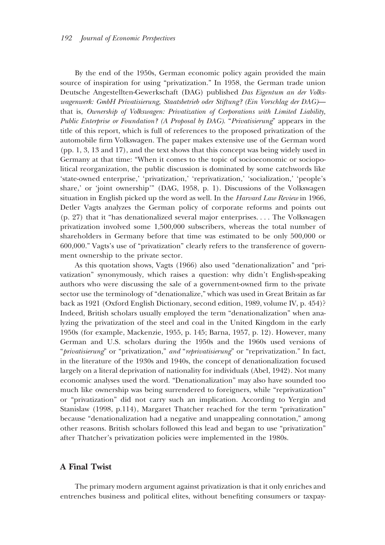By the end of the 1950s, German economic policy again provided the main source of inspiration for using "privatization." In 1958, the German trade union Deutsche Angestellten-Gewerkschaft (DAG) published *Das Eigentum an der Volkswagenwerk: GmbH Privatisierung, Staatsbetrieb oder Stiftung? (Ein Vorschlag der DAG)* that is, *Ownership of Volkswagen: Privatization of Corporations with Limited Liability, Public Enterprise or Foundation? (A Proposal by DAG)*. "*Privatisierung*" appears in the title of this report, which is full of references to the proposed privatization of the automobile firm Volkswagen. The paper makes extensive use of the German word (pp. 1, 3, 13 and 17), and the text shows that this concept was being widely used in Germany at that time: "When it comes to the topic of socioeconomic or sociopolitical reorganization, the public discussion is dominated by some catchwords like 'state-owned enterprise,' 'privatization,' 'reprivatization,' 'socialization,' 'people's share,' or 'joint ownership'" (DAG, 1958, p. 1). Discussions of the Volkswagen situation in English picked up the word as well. In the *Harvard Law Review* in 1966, Detler Vagts analyzes the German policy of corporate reforms and points out (p. 27) that it "has denationalized several major enterprises. . . . The Volkswagen privatization involved some 1,500,000 subscribers, whereas the total number of shareholders in Germany before that time was estimated to be only 500,000 or 600,000." Vagts's use of "privatization" clearly refers to the transference of government ownership to the private sector.

As this quotation shows, Vagts (1966) also used "denationalization" and "privatization" synonymously, which raises a question: why didn't English-speaking authors who were discussing the sale of a government-owned firm to the private sector use the terminology of "denationalize," which was used in Great Britain as far back as 1921 (Oxford English Dictionary, second edition, 1989, volume IV, p. 454)? Indeed, British scholars usually employed the term "denationalization" when analyzing the privatization of the steel and coal in the United Kingdom in the early 1950s (for example, Mackenzie, 1955, p. 145; Barna, 1957, p. 12). However, many German and U.S. scholars during the 1950s and the 1960s used versions of "*privatisierung*" or "privatization," *and* "*reprivatisierung*" or "reprivatization." In fact, in the literature of the 1930s and 1940s, the concept of denationalization focused largely on a literal deprivation of nationality for individuals (Abel, 1942). Not many economic analyses used the word. "Denationalization" may also have sounded too much like ownership was being surrendered to foreigners, while "reprivatization" or "privatization" did not carry such an implication. According to Yergin and Stanislaw (1998, p.114), Margaret Thatcher reached for the term "privatization" because "denationalization had a negative and unappealing connotation," among other reasons. British scholars followed this lead and began to use "privatization" after Thatcher's privatization policies were implemented in the 1980s.

#### **A Final Twist**

The primary modern argument against privatization is that it only enriches and entrenches business and political elites, without benefiting consumers or taxpay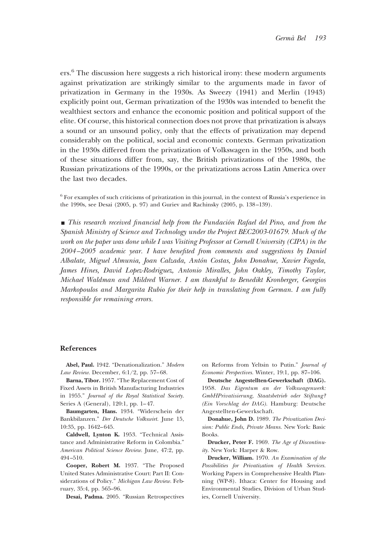ers.6 The discussion here suggests a rich historical irony: these modern arguments against privatization are strikingly similar to the arguments made in favor of privatization in Germany in the 1930s. As Sweezy (1941) and Merlin (1943) explicitly point out, German privatization of the 1930s was intended to benefit the wealthiest sectors and enhance the economic position and political support of the elite. Of course, this historical connection does not prove that privatization is always a sound or an unsound policy, only that the effects of privatization may depend considerably on the political, social and economic contexts. German privatization in the 1930s differed from the privatization of Volkswagen in the 1950s, and both of these situations differ from, say, the British privatizations of the 1980s, the Russian privatizations of the 1990s, or the privatizations across Latin America over the last two decades.

 $6$  For examples of such criticisms of privatization in this journal, in the context of Russia's experience in the 1990s, see Desai (2005, p. 97) and Guriev and Rachinsky (2005, p. 138–139).

**This research received financial help from the Fundación Rafael del Pino, and from the** *Spanish Ministry of Science and Technology under the Project BEC2003-01679. Much of the work on the paper was done while I was Visiting Professor at Cornell University (CIPA) in the 2004–2005 academic year. I have benefited from comments and suggestions by Daniel Albalate, Miguel Almunia, Joan Calzada, Anto´n Costas, John Donahue, Xavier Fageda, James Hines, David Lopez-Rodriguez, Antonio Miralles, John Oakley, Timothy Taylor, Michael Waldman and Mildred Warner. I am thankful to Benedikt Kronberger, Georgios Markopoulos and Margarita Rubio for their help in translating from German. I am fully responsible for remaining errors.*

#### **References**

**Abel, Paul.** 1942. "Denationalization." *Modern Law Review.* December, 6:1/2, pp. 57–68.

**Barna, Tibor.** 1957. "The Replacement Cost of Fixed Assets in British Manufacturing Industries in 1955." *Journal of the Royal Statistical Society.* Series A (General), 120:1, pp. 1–47.

**Baumgarten, Hans.** 1934. "Widerschein der Bankbilanzen." *Der Deutsche Volkswirt.* June 15, 10:35, pp. 1642–645.

**Caldwell, Lynton K.** 1953. "Technical Assistance and Administrative Reform in Colombia." *American Political Science Review.* June, 47:2, pp. 494–510.

**Cooper, Robert M.** 1937. "The Proposed United States Administrative Court: Part II: Considerations of Policy." *Michigan Law Review.* February, 35:4, pp. 565–96.

**Desai, Padma.** 2005. "Russian Retrospectives

on Reforms from Yeltsin to Putin." *Journal of Economic Perspectives.* Winter, 19:1, pp. 87–106.

**Deutsche Angestellten-Gewerkschaft (DAG).** 1958. *Das Eigentum an der Volkswagenwerk: GmbHPrivatisierung, Staatsbetrieb oder Stiftung? (Ein Vorschlag der DAG).* Hamburg: Deutsche Angestellten-Gewerkschaft.

**Donahue, John D.** 1989. *The Privatization Decision: Public Ends, Private Means.* New York: Basic Books.

**Drucker, Peter F.** 1969. *The Age of Discontinuity.* New York: Harper & Row.

**Drucker, William.** 1970. *An Examination of the Possibilities for Privatization of Health Services.* Working Papers in Comprehensive Health Planning (WP-8). Ithaca: Center for Housing and Environmental Studies, Division of Urban Studies, Cornell University.